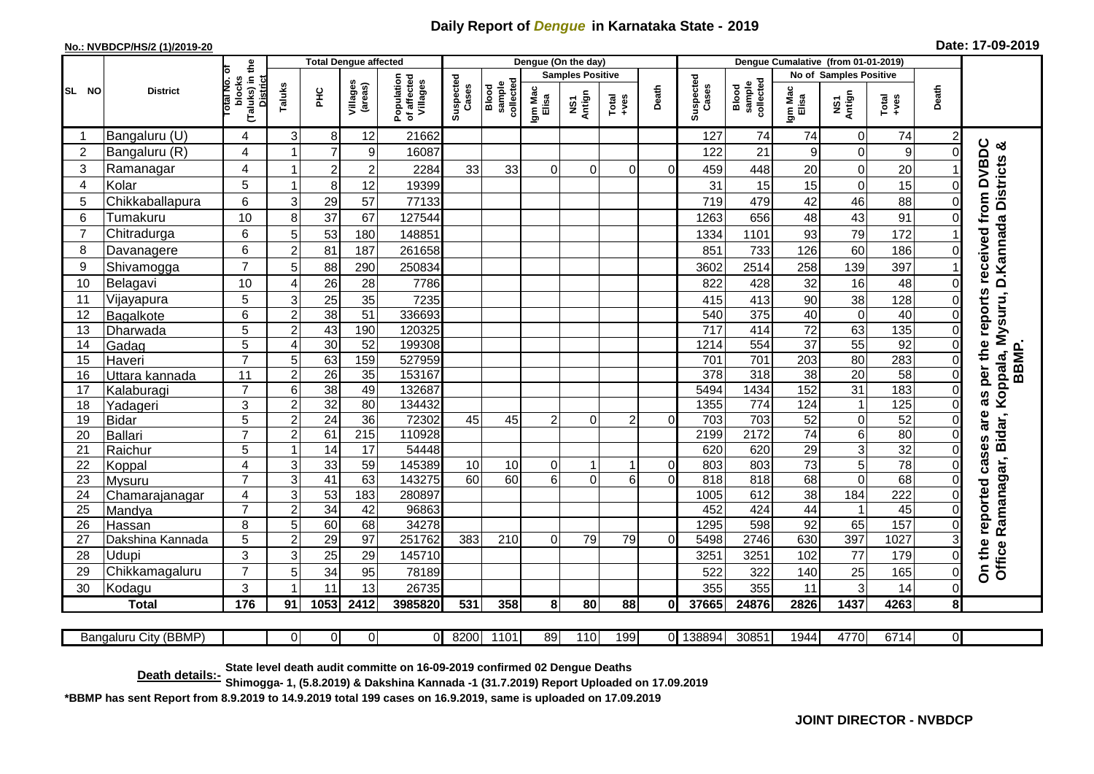## **Daily Report of** *Dengue* **in Karnataka State - 2019**

## **No.: NVBDCP/HS/2 (1)/2019-20 Date: 17-09-2019**

Bangaluru City (BBMP)

|                | <b>District</b>  |                                                              | <b>Total Dengue affected</b> |                 |                     |                                       |                    |                              |                         | Dengue (On the day) |               |                | Dengue Cumalative (from 01-01-2019) |                                     |                                  |                 |                 |                |                                                                |
|----------------|------------------|--------------------------------------------------------------|------------------------------|-----------------|---------------------|---------------------------------------|--------------------|------------------------------|-------------------------|---------------------|---------------|----------------|-------------------------------------|-------------------------------------|----------------------------------|-----------------|-----------------|----------------|----------------------------------------------------------------|
|                |                  |                                                              |                              |                 |                     | Population<br>of affected<br>Villages |                    |                              | <b>Samples Positive</b> |                     |               |                |                                     |                                     | <b>Samples Positive</b><br>No of |                 |                 |                |                                                                |
| SL NO          |                  | (Taluks) in the<br>rotal No. of<br>blocks<br><b>District</b> | Taluks                       | ΞÉ              | Villages<br>(areas) |                                       | Suspected<br>Cases | collected<br>sample<br>Blood | Igm Mac<br>Elisa        | NS1<br>Antign       | Total<br>+ves | Death          | Suspected<br>Cases                  | collected<br><b>Blood</b><br>sample | Igm Mac<br>Elisa                 | NS1<br>Antign   | Total<br>+ves   | Death          |                                                                |
|                | Bangaluru (U)    | 4                                                            | 3                            | 8               | 12                  | 21662                                 |                    |                              |                         |                     |               |                | 127                                 | 74                                  | 74                               | $\mathbf 0$     | 74              | $\overline{c}$ |                                                                |
| $\overline{2}$ | Bangaluru (R)    | 4                                                            |                              | $\overline{7}$  | 9                   | 16087                                 |                    |                              |                         |                     |               |                | 122                                 | 21                                  | 9                                | $\Omega$        | 9               | $\Omega$       | න්                                                             |
| 3              | Ramanagar        | 4                                                            |                              | $\overline{2}$  | $\overline{2}$      | 2284                                  | 33                 | 33                           | $\Omega$                | $\Omega$            | $\Omega$      | 0              | 459                                 | 448                                 | 20                               | $\mathbf 0$     | 20              |                | as per the reports received from DVBDC<br>D. Kannada Districts |
| $\overline{4}$ | Kolar            | 5                                                            |                              | 8               | 12                  | 19399                                 |                    |                              |                         |                     |               |                | 31                                  | 15                                  | 15                               | $\mathbf 0$     | 15              | $\Omega$       |                                                                |
| 5              | Chikkaballapura  | 6                                                            | 3                            | 29              | 57                  | 77133                                 |                    |                              |                         |                     |               |                | 719                                 | 479                                 | 42                               | 46              | 88              |                |                                                                |
| 6              | Tumakuru         | 10                                                           | 8                            | 37              | 67                  | 127544                                |                    |                              |                         |                     |               |                | 1263                                | 656                                 | 48                               | 43              | 91              |                |                                                                |
| 7              | Chitradurga      | 6                                                            | 5                            | 53              | 180                 | 148851                                |                    |                              |                         |                     |               |                | 1334                                | 1101                                | 93                               | 79              | 172             |                |                                                                |
| 8              | Davanagere       | $6\phantom{1}$                                               | $\overline{2}$               | 81              | 187                 | 261658                                |                    |                              |                         |                     |               |                | 851                                 | 733                                 | 126                              | 60              | 186             |                |                                                                |
| 9              | Shivamogga       | $\overline{7}$                                               | 5                            | 88              | 290                 | 250834                                |                    |                              |                         |                     |               |                | 3602                                | 2514                                | 258                              | 139             | 397             |                |                                                                |
| 10             | Belagavi         | 10                                                           | $\overline{4}$               | 26              | 28                  | 7786                                  |                    |                              |                         |                     |               |                | 822                                 | 428                                 | 32                               | 16              | 48              | $\Omega$       |                                                                |
| 11             | Vijayapura       | 5                                                            | 3                            | 25              | 35                  | 7235                                  |                    |                              |                         |                     |               |                | 415                                 | 413                                 | 90                               | 38              | 128             | $\Omega$       | Ramanagar, Bidar, Koppala, Mysuru,                             |
| 12             | Bagalkote        | 6                                                            | $\overline{2}$               | 38              | 51                  | 336693                                |                    |                              |                         |                     |               |                | 540                                 | 375                                 | 40                               | $\pmb{0}$       | 40              | $\Omega$       |                                                                |
| 13             | Dharwada         | $\overline{5}$                                               | $\overline{2}$               | 43              | 190                 | 120325                                |                    |                              |                         |                     |               |                | $\overline{717}$                    | 414                                 | $\overline{72}$                  | 63              | 135             | $\Omega$       |                                                                |
| 14             | Gadag            | $\overline{5}$                                               | $\overline{4}$               | 30              | 52                  | 199308                                |                    |                              |                         |                     |               |                | 1214                                | 554                                 | $\overline{37}$                  | 55              | 92              | $\Omega$       |                                                                |
| 15             | Haveri           | $\overline{7}$                                               | 5                            | 63              | 159                 | 527959                                |                    |                              |                         |                     |               |                | 701                                 | 701                                 | 203                              | 80              | 283             | $\Omega$       | BBMP.                                                          |
| 16             | Uttara kannada   | 11                                                           | $\overline{2}$               | $\overline{26}$ | $\overline{35}$     | 153167                                |                    |                              |                         |                     |               |                | $\overline{378}$                    | 318                                 | $\overline{38}$                  | $\overline{20}$ | 58              | $\overline{0}$ |                                                                |
| 17             | Kalaburagi       | $\overline{7}$                                               | 6                            | 38              | 49                  | 132687                                |                    |                              |                         |                     |               |                | 5494                                | 1434                                | 152                              | 31              | 183             | $\Omega$       |                                                                |
| 18             | Yadageri         | 3                                                            | $\overline{2}$               | 32              | 80                  | 134432                                |                    |                              |                         |                     |               |                | 1355                                | 774                                 | 124                              | $\overline{1}$  | 125             | $\Omega$       |                                                                |
| 19             | <b>Bidar</b>     | 5                                                            | $\overline{2}$               | $\overline{24}$ | 36                  | 72302                                 | 45                 | 45                           | 2                       | $\Omega$            | 2             | $\Omega$       | 703                                 | 703                                 | 52                               | $\Omega$        | $\overline{52}$ | $\Omega$       | are                                                            |
| 20             | Ballari          | $\overline{7}$                                               | $\overline{2}$               | 61              | $\overline{215}$    | 110928                                |                    |                              |                         |                     |               |                | 2199                                | 2172                                | 74                               | 6               | 80              |                |                                                                |
| 21             | Raichur          | 5                                                            |                              | 14              | 17                  | 54448                                 |                    |                              |                         |                     |               |                | 620                                 | 620                                 | $\overline{29}$                  | 3               | $\overline{32}$ |                | cases                                                          |
| 22             | Koppal           | $\overline{4}$                                               | 3                            | 33              | 59                  | 145389                                | 10                 | 10                           | $\mathbf 0$             |                     | $\mathbf 1$   | $\overline{0}$ | 803                                 | 803                                 | $\overline{73}$                  | 5               | $\overline{78}$ |                |                                                                |
| 23             | Mysuru           | $\overline{7}$                                               | 3                            | $\overline{41}$ | 63                  | 143275                                | 60                 | 60                           | 6                       | $\Omega$            | 6             | $\Omega$       | 818                                 | 818                                 | 68                               | $\Omega$        | 68              |                |                                                                |
| 24             | Chamarajanagar   | 4                                                            | $\overline{3}$               | 53              | 183                 | 280897                                |                    |                              |                         |                     |               |                | 1005                                | 612                                 | 38                               | 184             | 222             |                |                                                                |
| 25             | Mandya           | $\overline{7}$                                               | $\overline{c}$               | $\overline{34}$ | 42                  | 96863                                 |                    |                              |                         |                     |               |                | 452                                 | 424                                 | 44                               | $\overline{1}$  | 45              | $\Omega$       |                                                                |
| 26             | Hassan           | 8                                                            | 5                            | 60              | 68<br>97            | 34278                                 |                    |                              |                         |                     |               |                | 1295                                | 598                                 | 92                               | 65              | 157<br>1027     | $\Omega$       |                                                                |
| 27             | Dakshina Kannada | 5                                                            | $\overline{2}$               | 29              |                     | 251762                                | 383                | 210                          | $\Omega$                | 79                  | 79            | $\Omega$       | 5498                                | 2746                                | 630                              | 397             |                 | 3              | On the reported<br>Office                                      |
| 28             | Udupi            | 3                                                            | 3                            | 25              | 29                  | 145710                                |                    |                              |                         |                     |               |                | 3251                                | 3251                                | 102                              | 77              | 179             | $\mathbf 0$    |                                                                |
| 29             | Chikkamagaluru   | $\overline{7}$                                               | 5                            | 34              | 95                  | 78189                                 |                    |                              |                         |                     |               |                | 522                                 | 322                                 | 140                              | 25              | 165             | $\Omega$       |                                                                |
| 30             | Kodagu           | 3                                                            |                              | 11              | 13                  | 26735                                 |                    |                              |                         |                     |               |                | 355                                 | 355                                 | 11                               | 3               | 14              | $\overline{0}$ |                                                                |
|                | <b>Total</b>     | $\frac{1}{176}$                                              | 91                           | 1053            | 2412                | 3985820                               | 531                | 358                          | 8 <sup>1</sup>          | 80                  | 88            | $\mathbf{0}$   | 37665                               | 24876                               | 2826                             | 1437            | 4263            | $\mathbf{8}$   |                                                                |
|                |                  |                                                              |                              |                 |                     |                                       |                    |                              |                         |                     |               |                |                                     |                                     |                                  |                 |                 |                |                                                                |

0| 0| 0| 0| 8200|1101| 89| 110| 199| 0|138894|-30851| 1944| 4770| 6714| - 0

**Death details:- State level death audit committe on 16-09-2019 confirmed 02 Dengue Deaths Shimogga- 1, (5.8.2019) & Dakshina Kannada -1 (31.7.2019) Report Uploaded on 17.09.2019**

**\*BBMP has sent Report from 8.9.2019 to 14.9.2019 total 199 cases on 16.9.2019, same is uploaded on 17.09.2019**